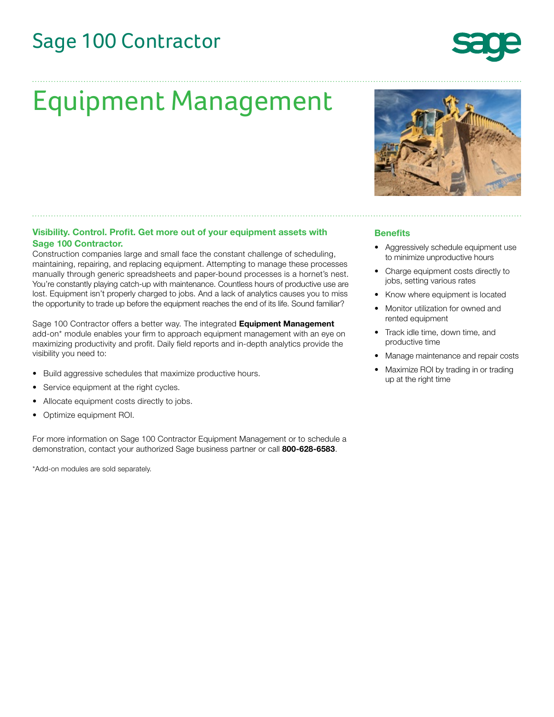# Sage 100 Contractor

# Equipment Management

# **Visibility. Control. Profit. Get more out of your equipment assets with Sage 100 Contractor.**

Construction companies large and small face the constant challenge of scheduling, maintaining, repairing, and replacing equipment. Attempting to manage these processes manually through generic spreadsheets and paper-bound processes is a hornet's nest. You're constantly playing catch-up with maintenance. Countless hours of productive use are lost. Equipment isn't properly charged to jobs. And a lack of analytics causes you to miss the opportunity to trade up before the equipment reaches the end of its life. Sound familiar?

Sage 100 Contractor offers a better way. The integrated **Equipment Management** add-on\* module enables your firm to approach equipment management with an eye on maximizing productivity and profit. Daily field reports and in-depth analytics provide the visibility you need to:

- Build aggressive schedules that maximize productive hours.
- Service equipment at the right cycles.
- Allocate equipment costs directly to jobs.
- Optimize equipment ROI.

For more information on Sage 100 Contractor Equipment Management or to schedule a demonstration, contact your authorized Sage business partner or call **800-628-6583**.

\*Add-on modules are sold separately.



### **Benefits**

- Aggressively schedule equipment use to minimize unproductive hours
- Charge equipment costs directly to jobs, setting various rates
- Know where equipment is located
- Monitor utilization for owned and rented equipment
- Track idle time, down time, and productive time
- Manage maintenance and repair costs
- Maximize ROI by trading in or trading up at the right time